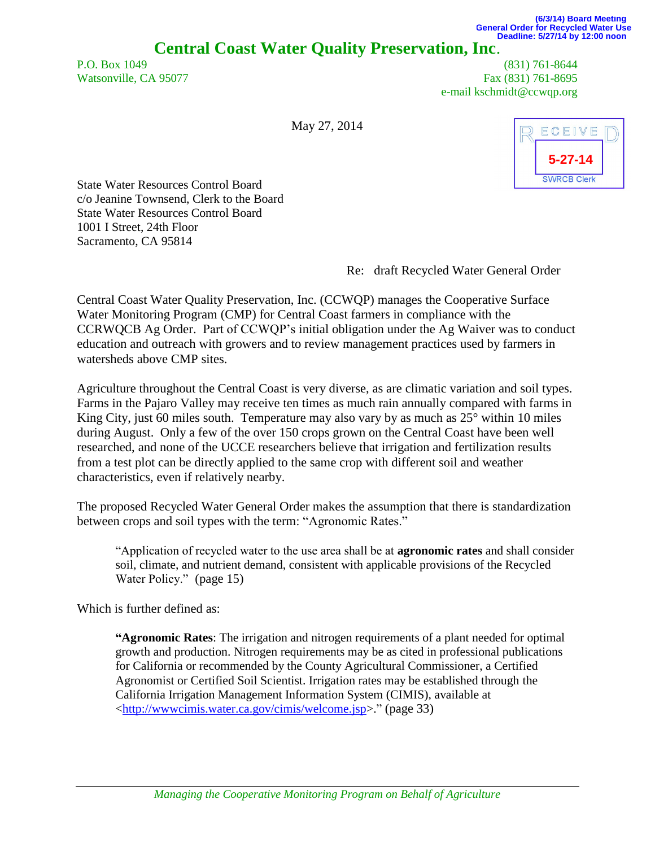## **Central Coast Water Quality Preservation, Inc**.

P.O. Box 1049 (831) 761-8644 Watsonville, CA 95077 Fax (831) 761-8695 e-mail kschmidt@ccwqp.org

May 27, 2014



State Water Resources Control Board c/o Jeanine Townsend, Clerk to the Board State Water Resources Control Board 1001 I Street, 24th Floor Sacramento, CA 95814

Re: draft Recycled Water General Order

Central Coast Water Quality Preservation, Inc. (CCWQP) manages the Cooperative Surface Water Monitoring Program (CMP) for Central Coast farmers in compliance with the CCRWQCB Ag Order. Part of CCWQP's initial obligation under the Ag Waiver was to conduct education and outreach with growers and to review management practices used by farmers in watersheds above CMP sites.

Agriculture throughout the Central Coast is very diverse, as are climatic variation and soil types. Farms in the Pajaro Valley may receive ten times as much rain annually compared with farms in King City, just 60 miles south. Temperature may also vary by as much as  $25^{\circ}$  within 10 miles during August. Only a few of the over 150 crops grown on the Central Coast have been well researched, and none of the UCCE researchers believe that irrigation and fertilization results from a test plot can be directly applied to the same crop with different soil and weather characteristics, even if relatively nearby.

The proposed Recycled Water General Order makes the assumption that there is standardization between crops and soil types with the term: "Agronomic Rates."

"Application of recycled water to the use area shall be at **agronomic rates** and shall consider soil, climate, and nutrient demand, consistent with applicable provisions of the Recycled Water Policy." (page 15)

Which is further defined as:

**"Agronomic Rates**: The irrigation and nitrogen requirements of a plant needed for optimal growth and production. Nitrogen requirements may be as cited in professional publications for California or recommended by the County Agricultural Commissioner, a Certified Agronomist or Certified Soil Scientist. Irrigation rates may be established through the California Irrigation Management Information System (CIMIS), available at [<http://wwwcimis.water.ca.gov/cimis/welcome.jsp>](http://wwwcimis.water.ca.gov/cimis/welcome.jsp)." (page 33)